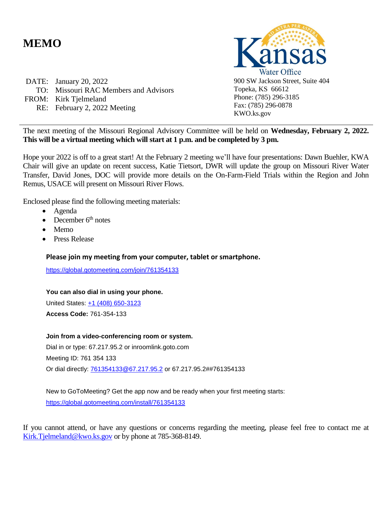### **MEMO**

DATE: January 20, 2022 TO: Missouri RAC Members and Advisors FROM: Kirk Tjelmeland RE: February 2, 2022 Meeting



The next meeting of the Missouri Regional Advisory Committee will be held on **Wednesday, February 2, 2022. This will be a virtual meeting which will start at 1 p.m. and be completed by 3 pm.** 

Hope your 2022 is off to a great start! At the February 2 meeting we'll have four presentations: Dawn Buehler, KWA Chair will give an update on recent success, Katie Tietsort, DWR will update the group on Missouri River Water Transfer, David Jones, DOC will provide more details on the On-Farm-Field Trials within the Region and John Remus, USACE will present on Missouri River Flows.

Enclosed please find the following meeting materials:

- Agenda
- December  $6<sup>th</sup>$  notes
- Memo
- Press Release

#### **Please join my meeting from your computer, tablet or smartphone.**

<https://global.gotomeeting.com/join/761354133>

**You can also dial in using your phone.** United States: [+1 \(408\) 650-3123](tel:+14086503123,,761354133)

**Access Code:** 761-354-133

#### **Join from a video-conferencing room or system.**

Dial in or type: 67.217.95.2 or inroomlink.goto.com Meeting ID: 761 354 133 Or dial directly: [761354133@67.217.95.2](mailto:761354133@67.217.95.2) or 67.217.95.2##761354133

New to GoToMeeting? Get the app now and be ready when your first meeting starts: <https://global.gotomeeting.com/install/761354133>

If you cannot attend, or have any questions or concerns regarding the meeting, please feel free to contact me at [Kirk.Tjelmeland@kwo.ks.gov](mailto:Kirk.Tjelmeland@kwo.ks.gov) or by phone at 785-368-8149.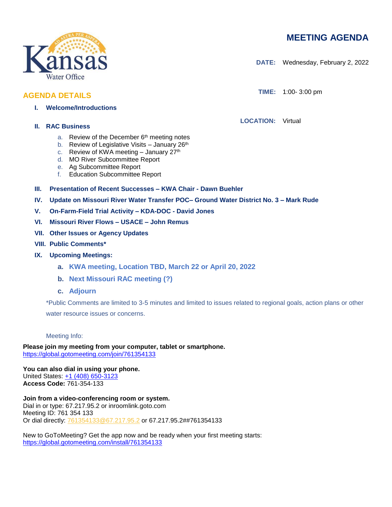### **MEETING AGENDA**

**DATE:** Wednesday, February 2, 2022

**TIME:** 1:00- 3:00 pm

**LOCATION:** Virtual

**II. RAC Business**

- a. Review of the December 6<sup>th</sup> meeting notes
- b. Review of Legislative Visits January 26<sup>th</sup>
- c. Review of KWA meeting January  $27<sup>th</sup>$
- d. MO River Subcommittee Report
- e. Ag Subcommittee Report
- f. Education Subcommittee Report
- **III. Presentation of Recent Successes – KWA Chair - Dawn Buehler**
- **IV. Update on Missouri River Water Transfer POC– Ground Water District No. 3 – Mark Rude**
- **V. On-Farm-Field Trial Activity – KDA-DOC - David Jones**
- **VI. Missouri River Flows – USACE – John Remus**
- **VII. Other Issues or Agency Updates**
- **VIII. Public Comments\***
- **IX. Upcoming Meetings:**
	- **a. KWA meeting, Location TBD, March 22 or April 20, 2022**
	- **b. Next Missouri RAC meeting (?)**
	- **c. Adjourn**

\*Public Comments are limited to 3-5 minutes and limited to issues related to regional goals, action plans or other water resource issues or concerns.

Meeting Info:

**Please join my meeting from your computer, tablet or smartphone.**  <https://global.gotomeeting.com/join/761354133>

**You can also dial in using your phone.** United States: [+1 \(408\) 650-3123](tel:+14086503123,,761354133) **Access Code:** 761-354-133

**Join from a video-conferencing room or system.** Dial in or type: 67.217.95.2 or inroomlink.goto.com Meeting ID: 761 354 133 Or dial directly: [761354133@67.217.95.2](mailto:761354133@67.217.95.2) or 67.217.95.2##761354133

New to GoToMeeting? Get the app now and be ready when your first meeting starts: <https://global.gotomeeting.com/install/761354133>



**AGENDA DETAILS**

**I. Welcome/Introductions**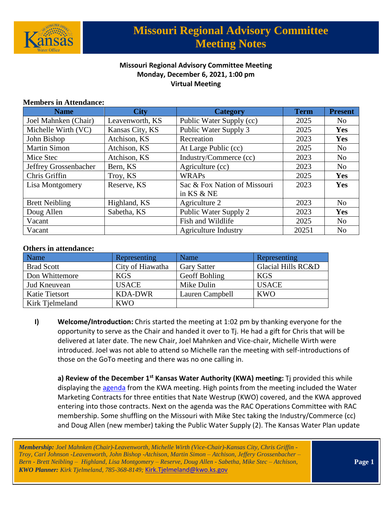

### **Missouri Regional Advisory Committee Meeting Monday, December 6, 2021, 1:00 pm Virtual Meeting**

#### **Members in Attendance:**

| <b>Name</b>           | <b>City</b>     | <b>Category</b>              | <b>Term</b> | <b>Present</b> |
|-----------------------|-----------------|------------------------------|-------------|----------------|
| Joel Mahnken (Chair)  | Leavenworth, KS | Public Water Supply (cc)     | 2025        | N <sub>0</sub> |
| Michelle Wirth (VC)   | Kansas City, KS | Public Water Supply 3        | 2025        | Yes            |
| John Bishop           | Atchison, KS    | Recreation                   | 2023        | Yes            |
| <b>Martin Simon</b>   | Atchison, KS    | At Large Public (cc)         | 2025        | N <sub>0</sub> |
| Mice Stec             | Atchison, KS    | Industry/Commerce (cc)       | 2023        | N <sub>0</sub> |
| Jeffrey Grossenbacher | Bern, KS        | Agriculture (cc)             | 2023        | N <sub>o</sub> |
| Chris Griffin         | Troy, KS        | <b>WRAPs</b>                 | 2025        | Yes            |
| Lisa Montgomery       | Reserve, KS     | Sac & Fox Nation of Missouri | 2023        | Yes            |
|                       |                 | in KS & NE                   |             |                |
| <b>Brett Neibling</b> | Highland, KS    | Agriculture 2                | 2023        | N <sub>o</sub> |
| Doug Allen            | Sabetha, KS     | Public Water Supply 2        | 2023        | Yes            |
| Vacant                |                 | Fish and Wildlife            | 2025        | N <sub>0</sub> |
| Vacant                |                 | <b>Agriculture Industry</b>  | 20251       | N <sub>0</sub> |

#### **Others in attendance:**

| Name                  | Representing     | Name               | Representing                  |
|-----------------------|------------------|--------------------|-------------------------------|
| <b>Brad Scott</b>     | City of Hiawatha | <b>Gary Satter</b> | <b>Glacial Hills RC&amp;D</b> |
| Don Whittemore        | <b>KGS</b>       | Geoff Bohling      | <b>KGS</b>                    |
| <b>Jud Kneuvean</b>   | <b>USACE</b>     | Mike Dulin         | <b>USACE</b>                  |
| <b>Katie Tietsort</b> | <b>KDA-DWR</b>   | Lauren Campbell    | <b>KWO</b>                    |
| Kirk Tjelmeland       | <b>KWO</b>       |                    |                               |

**I) Welcome/Introduction:** Chris started the meeting at 1:02 pm by thanking everyone for the opportunity to serve as the Chair and handed it over to Tj. He had a gift for Chris that will be delivered at later date. The new Chair, Joel Mahnken and Vice-chair, Michelle Wirth were introduced. Joel was not able to attend so Michelle ran the meeting with self-introductions of those on the GoTo meeting and there was no one calling in.

**a) Review of the December 1st Kansas Water Authority (KWA) meeting:** Tj provided this while displaying the [agenda](https://kwo.ks.gov/docs/default-source/kwa/kwa_meeting_materials_packet_120121.pdf?sfvrsn=e7ca8014_2) from the KWA meeting. High points from the meeting included the Water Marketing Contracts for three entities that Nate Westrup (KWO) covered, and the KWA approved entering into those contracts. Next on the agenda was the RAC Operations Committee with RAC membership. Some shuffling on the Missouri with Mike Stec taking the Industry/Commerce (cc) and Doug Allen (new member) taking the Public Water Supply (2). The Kansas Water Plan update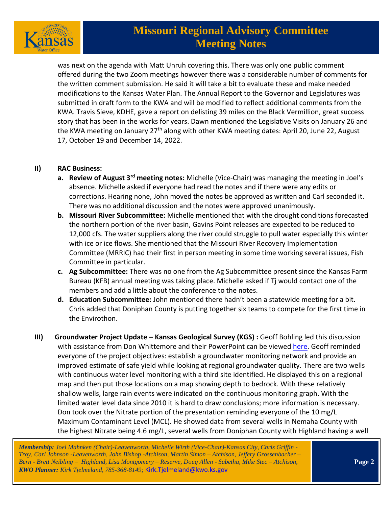

was next on the agenda with Matt Unruh covering this. There was only one public comment offered during the two Zoom meetings however there was a considerable number of comments for the written comment submission. He said it will take a bit to evaluate these and make needed modifications to the Kansas Water Plan. The Annual Report to the Governor and Legislatures was submitted in draft form to the KWA and will be modified to reflect additional comments from the KWA. Travis Sieve, KDHE, gave a report on delisting 39 miles on the Black Vermillion, great success story that has been in the works for years. Dawn mentioned the Legislative Visits on January 26 and the KWA meeting on January 27<sup>th</sup> along with other KWA meeting dates: April 20, June 22, August 17, October 19 and December 14, 2022.

#### **II) RAC Business:**

- **a. Review of August 3rd meeting notes:** Michelle (Vice-Chair) was managing the meeting in Joel's absence. Michelle asked if everyone had read the notes and if there were any edits or corrections. Hearing none, John moved the notes be approved as written and Carl seconded it. There was no additional discussion and the notes were approved unanimously.
- **b. Missouri River Subcommittee:** Michelle mentioned that with the drought conditions forecasted the northern portion of the river basin, Gavins Point releases are expected to be reduced to 12,000 cfs. The water suppliers along the river could struggle to pull water especially this winter with ice or ice flows. She mentioned that the Missouri River Recovery Implementation Committee (MRRIC) had their first in person meeting in some time working several issues, Fish Committee in particular.
- **c. Ag Subcommittee:** There was no one from the Ag Subcommittee present since the Kansas Farm Bureau (KFB) annual meeting was taking place. Michelle asked if Tj would contact one of the members and add a little about the conference to the notes.
- **d. Education Subcommittee:** John mentioned there hadn't been a statewide meeting for a bit. Chris added that Doniphan County is putting together six teams to compete for the first time in the Envirothon.
- **III)** Groundwater Project Update Kansas Geological Survey (KGS) : Geoff Bohling led this discussion with assistance from Don Whittemore and their PowerPoint can be viewed [here.](https://kwo.ks.gov/docs/default-source/regional-advisory-committees/meeting-materials/missouri-rac-presentations/kgs_mo-rac_12-06-21.pdf?sfvrsn=7fce8014_2) Geoff reminded everyone of the project objectives: establish a groundwater monitoring network and provide an improved estimate of safe yield while looking at regional groundwater quality. There are two wells with continuous water level monitoring with a third site identified. He displayed this on a regional map and then put those locations on a map showing depth to bedrock. With these relatively shallow wells, large rain events were indicated on the continuous monitoring graph. With the limited water level data since 2010 it is hard to draw conclusions; more information is necessary. Don took over the Nitrate portion of the presentation reminding everyone of the 10 mg/L Maximum Contaminant Level (MCL). He showed data from several wells in Nemaha County with the highest Nitrate being 4.6 mg/L, several wells from Doniphan County with Highland having a well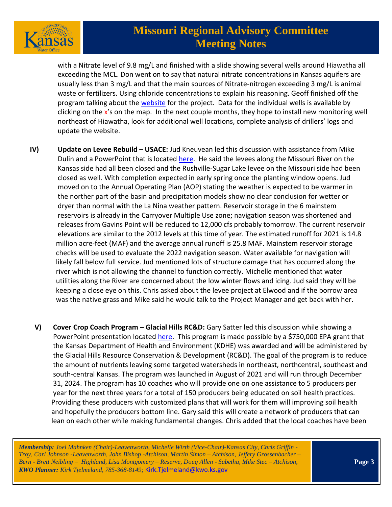

with a Nitrate level of 9.8 mg/L and finished with a slide showing several wells around Hiawatha all exceeding the MCL. Don went on to say that natural nitrate concentrations in Kansas aquifers are usually less than 3 mg/L and that the main sources of Nitrate-nitrogen exceeding 3 mg/L is animal waste or fertilizers. Using chloride concentrations to explain his reasoning. Geoff finished off the program talking about the [website](https://www.kgs.ku.edu/Hydro/Missouri/index.html) for the project. Data for the individual wells is available by clicking on the  $x'$ s on the map. In the next couple months, they hope to install new monitoring well northeast of Hiawatha, look for additional well locations, complete analysis of drillers' logs and update the website.

- **IV) Update on Levee Rebuild – USACE:** Jud Kneuvean led this discussion with assistance from Mike Dulin and a PowerPoint that is located [here.](https://kwo.ks.gov/docs/default-source/regional-advisory-committees/meeting-materials/missouri-rac-presentations/usace_mo-rac-6december2021.pdf?sfvrsn=15ce8014_2) He said the levees along the Missouri River on the Kansas side had all been closed and the Rushville-Sugar Lake levee on the Missouri side had been closed as well. With completion expected in early spring once the planting window opens. Jud moved on to the Annual Operating Plan (AOP) stating the weather is expected to be warmer in the norther part of the basin and precipitation models show no clear conclusion for wetter or dryer than normal with the La Nina weather pattern. Reservoir storage in the 6 mainstem reservoirs is already in the Carryover Multiple Use zone; navigation season was shortened and releases from Gavins Point will be reduced to 12,000 cfs probably tomorrow. The current reservoir elevations are similar to the 2012 levels at this time of year. The estimated runoff for 2021 is 14.8 million acre-feet (MAF) and the average annual runoff is 25.8 MAF. Mainstem reservoir storage checks will be used to evaluate the 2022 navigation season. Water available for navigation will likely fall below full service. Jud mentioned lots of structure damage that has occurred along the river which is not allowing the channel to function correctly. Michelle mentioned that water utilities along the River are concerned about the low winter flows and icing. Jud said they will be keeping a close eye on this. Chris asked about the levee project at Elwood and if the borrow area was the native grass and Mike said he would talk to the Project Manager and get back with her.
	- **V) Cover Crop Coach Program – Glacial Hills RC&D:** Gary Satter led this discussion while showing a PowerPoint presentation located [here.](https://kwo.ks.gov/docs/default-source/regional-advisory-committees/meeting-materials/missouri-rac-presentations/rc-d_farmer-to-farmer-network_120621.pdf?sfvrsn=62ce8014_2) This program is made possible by a \$750,000 EPA grant that the Kansas Department of Health and Environment (KDHE) was awarded and will be administered by the Glacial Hills Resource Conservation & Development (RC&D). The goal of the program is to reduce the amount of nutrients leaving some targeted watersheds in northeast, northcentral, southeast and south-central Kansas. The program was launched in August of 2021 and will run through December 31, 2024. The program has 10 coaches who will provide one on one assistance to 5 producers per year for the next three years for a total of 150 producers being educated on soil health practices. Providing these producers with customized plans that will work for them will improving soil health and hopefully the producers bottom line. Gary said this will create a network of producers that can lean on each other while making fundamental changes. Chris added that the local coaches have been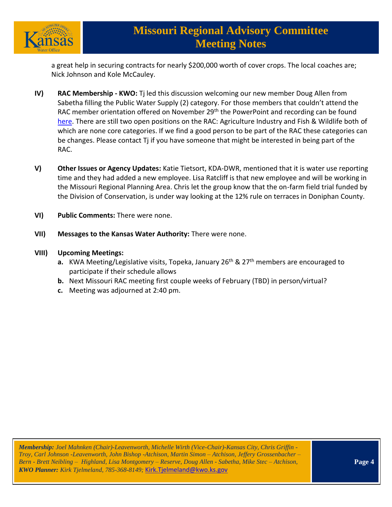

a great help in securing contracts for nearly \$200,000 worth of cover crops. The local coaches are; Nick Johnson and Kole McCauley.

- **IV) RAC Membership - KWO:** Tj led this discussion welcoming our new member Doug Allen from Sabetha filling the Public Water Supply (2) category. For those members that couldn't attend the RAC member orientation offered on November 29<sup>th</sup> the PowerPoint and recording can be found [here.](https://kwo.ks.gov/about-the-kwo/regional-advisory-committees) There are still two open positions on the RAC: Agriculture Industry and Fish & Wildlife both of which are none core categories. If we find a good person to be part of the RAC these categories can be changes. Please contact Tj if you have someone that might be interested in being part of the RAC.
- **V) Other Issues or Agency Updates:** Katie Tietsort, KDA-DWR, mentioned that it is water use reporting time and they had added a new employee. Lisa Ratcliff is that new employee and will be working in the Missouri Regional Planning Area. Chris let the group know that the on-farm field trial funded by the Division of Conservation, is under way looking at the 12% rule on terraces in Doniphan County.
- **VI) Public Comments:** There were none.
- **VII) Messages to the Kansas Water Authority:** There were none.
- **VIII) Upcoming Meetings:**
	- **a.** KWA Meeting/Legislative visits, Topeka, January 26<sup>th</sup> & 27<sup>th</sup> members are encouraged to participate if their schedule allows
	- **b.** Next Missouri RAC meeting first couple weeks of February (TBD) in person/virtual?
	- **c.** Meeting was adjourned at 2:40 pm.